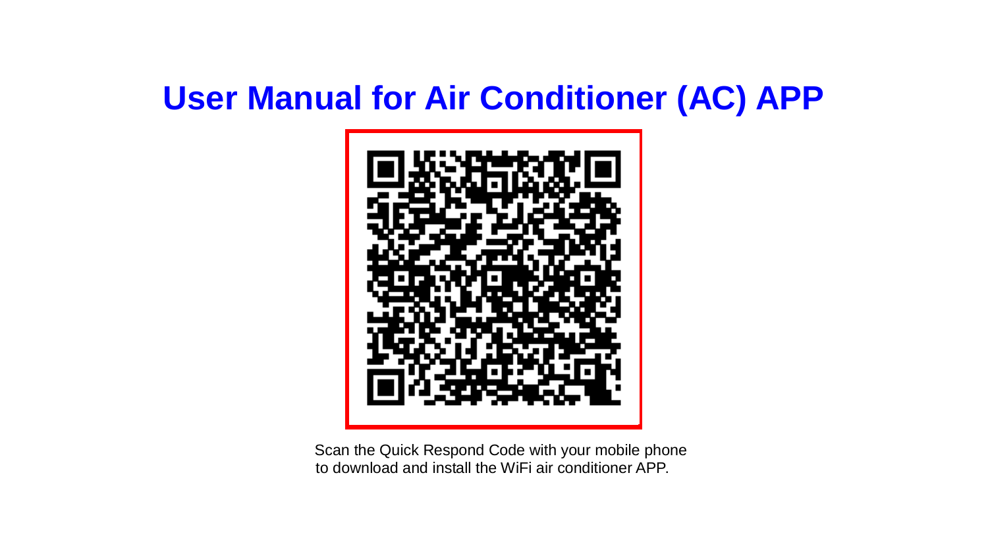## **User Manual for Air Conditioner (AC) APP**



Scan the Quick Respond Code with your mobile phone to download and install the WiFi air conditioner APP.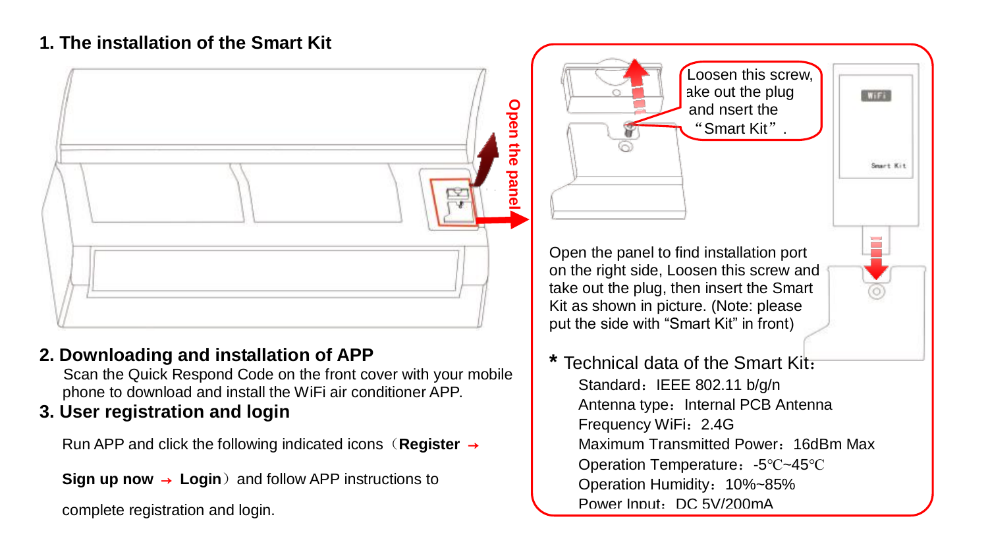## **1. The installation of the Smart Kit**



## **2. Downloading and installation of APP**

Scan the Quick Respond Code on the front cover with your mobile phone to download and install the WiFi air conditioner APP.

## **3. User registration and login**

Run APP and click the following indicated icons(**Register** →

**Sign up now → Login**) and follow APP instructions to

complete registration and login.

**\*** Technical data of the Smart Kit: Standard: IEEE 802.11 b/g/n Antenna type: Internal PCB Antenna Frequency WiFi:2.4G Maximum Transmitted Power:16dBm Max Operation Temperature:-5℃~45℃ Operation Humidity:10%~85% Power Input: DC 5V/200mA

医百花

Smart Kin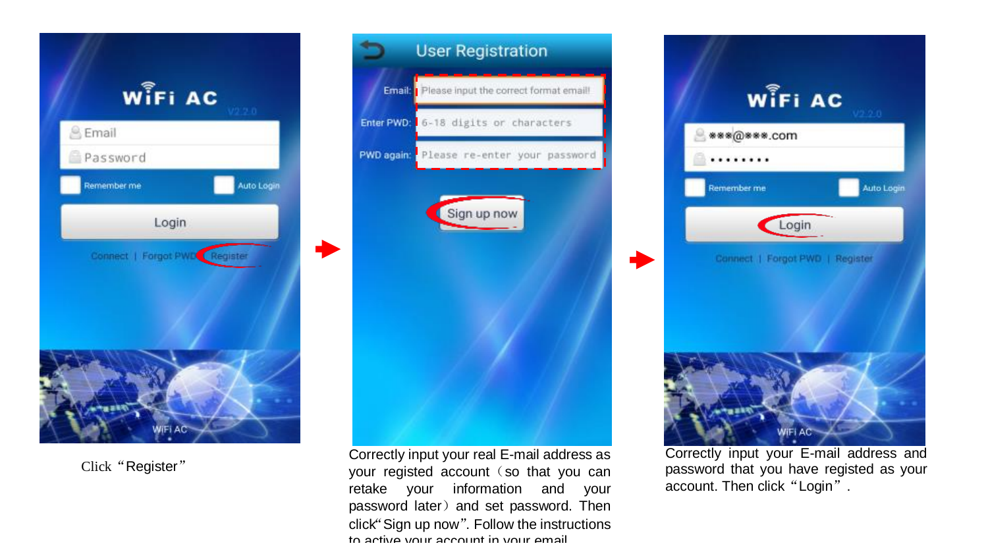

Click "Register"



Correctly input your real E -mail address as your registed account (so that you can retake your information and your password later) and set password. Then click"Sign up now " . Follow the instructions to active your account in your email.



Correctly input your E -mail address and password that you have registed as your account. Then click "Login".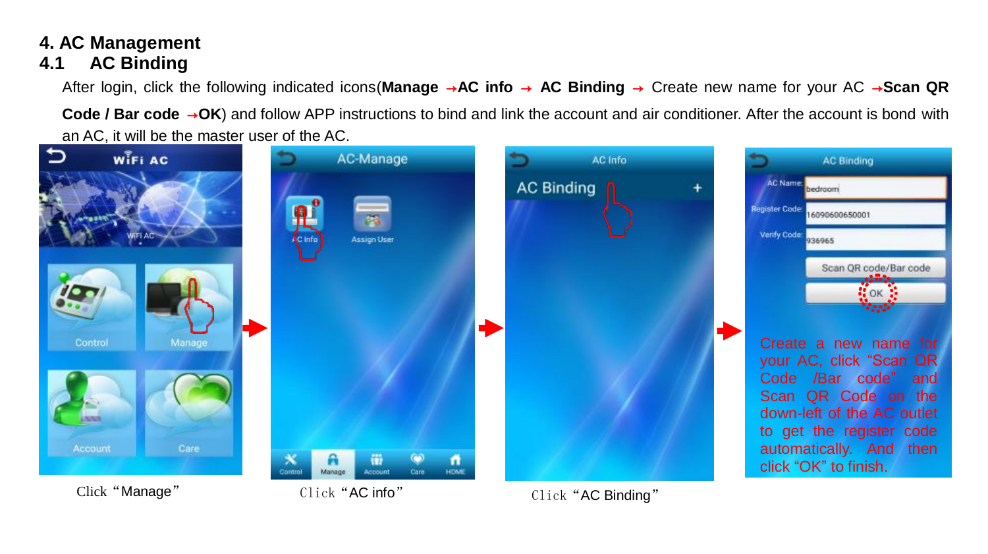# **4. AC Management**

## **4.1 AC Binding**

After login, click the following indicated icons(**Manage** →**AC info** → **AC Binding** → Create new name for your AC →**Scan QR** 

**Code / Bar code** →**OK**) and follow APP instructions to bind and link the account and air conditioner. After the account is bond with an AC, it will be the master user of the AC.

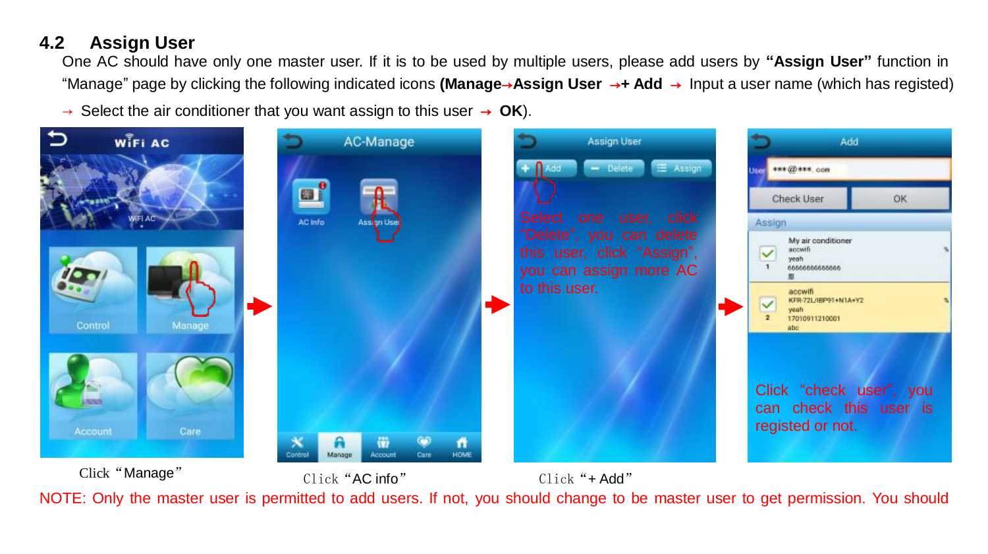## **4.2 Assign User**

One AC should have only one master user. If it is to be used by multiple users, please add users by **"Assign User"** function in "Manage" page by clicking the following indicated icons **(Manage**→**Assign User** →**+ Add** → Input a user name (which has registed)

→ Select the air conditioner that you want assign to this user → **OK**).



NOTE: Only the master user is permitted to add users. If not, you should change to be master user to get permission. You should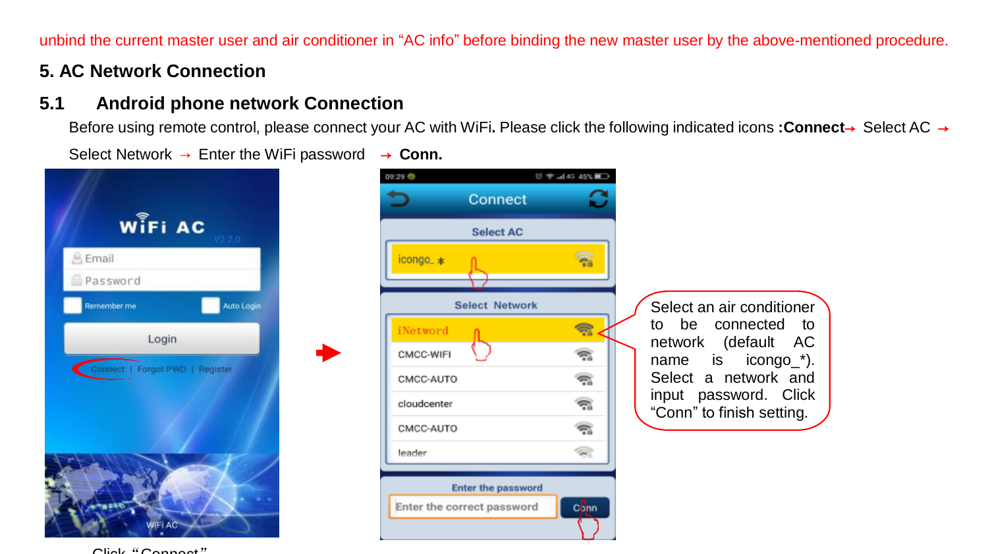unbind the current master user and air conditioner in "AC info" before binding the new master user by the above-mentioned procedure.

#### **5. AC Network Connection**

#### **5.1 Android phone network Connection**

Before using remote control, please connect your AC with WiFi**.** Please click the following indicated icons **:Connect**→ Select AC → Select Network → Enter the WiFi password → **Conn.**

 $10 - 440.453$ 

09:29



Connect Select AC **R** icongo\_\* Select Network  $\Rightarrow$ iNetword CMCC-WIFL ÷.  $\overline{\mathbb{R}}$ CMCC-AUTO cloudcenter ক CMCC-AUTO 宆 leader g, **Enter the password** Enter the correct password conn

Select an air conditioner<br>to be connected to to be connected to<br>network (default AC (default AC name is icongo \*). Select a network and input password. Click "Conn" to finish setting.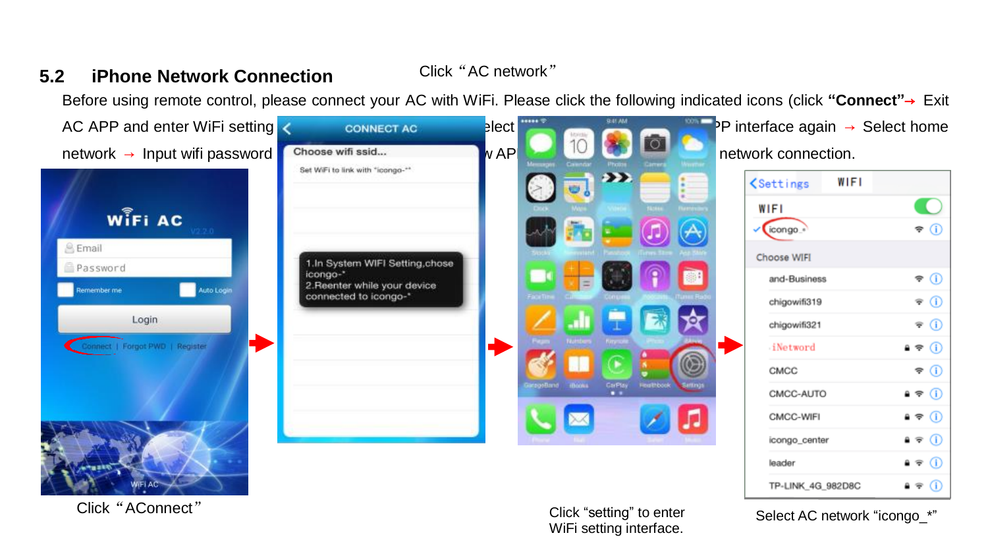#### **5.2 iPhone Network Connection**

Click"AC network"

Before using remote control, please connect your AC with WiFi. Please click the following indicated icons (click **"Connect"**→ Exit



Click"AConnect"

Click "setting" to enter WiFi setting interface.

Select AC network "icongo\_\*"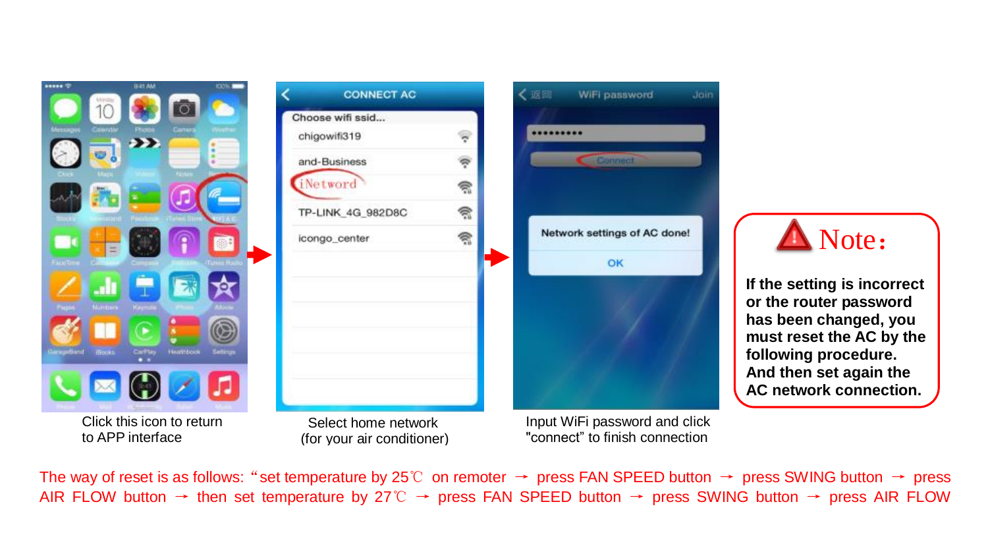



**CONNECT AC** 

Select home network (for your air conditioner)

Input WiFi password and click "connect" to finish connection

WiFi password

Connect

Network settings of AC done!

OK



**If the setting is incorrect or the router password has been changed, you must reset the AC by the following procedure. And then set again the AC network connection.**

The way of reset is as follows:"set temperature by 25℃ on remoter → press FAN SPEED button → press SWING button → press AIR FLOW button → then set temperature by 27℃ → press FAN SPEED button → press SWING button → press AIR FLOW

く返回

.........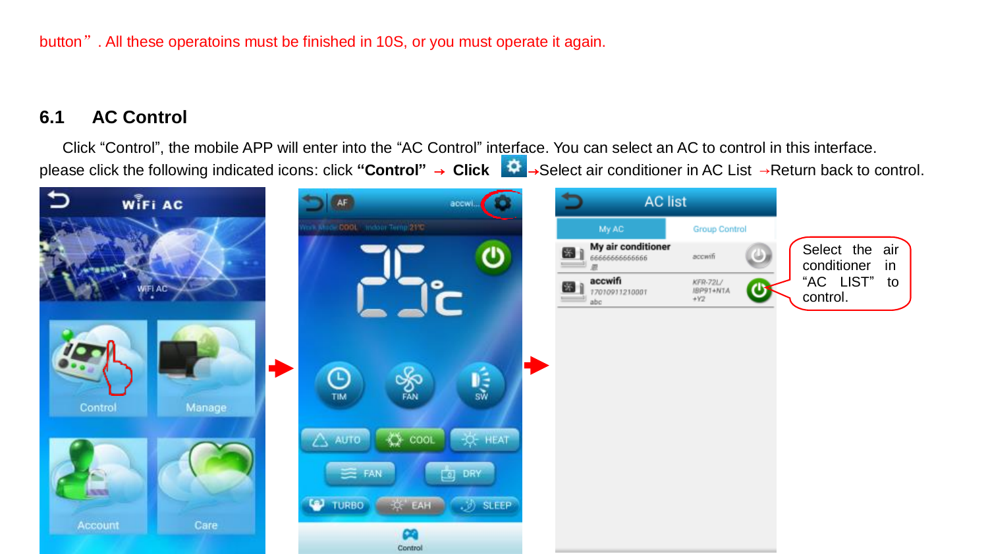button". All these operatoins must be finished in 10S, or you must operate it again.

#### **6.1 AC Control**

Click "Control", the mobile APP will enter into the "AC Control" interface. You can select an AC to control in this interface. please click the following indicated icons: click **"Control"** → **Click** →Select air conditioner in AC List →Return back to control.

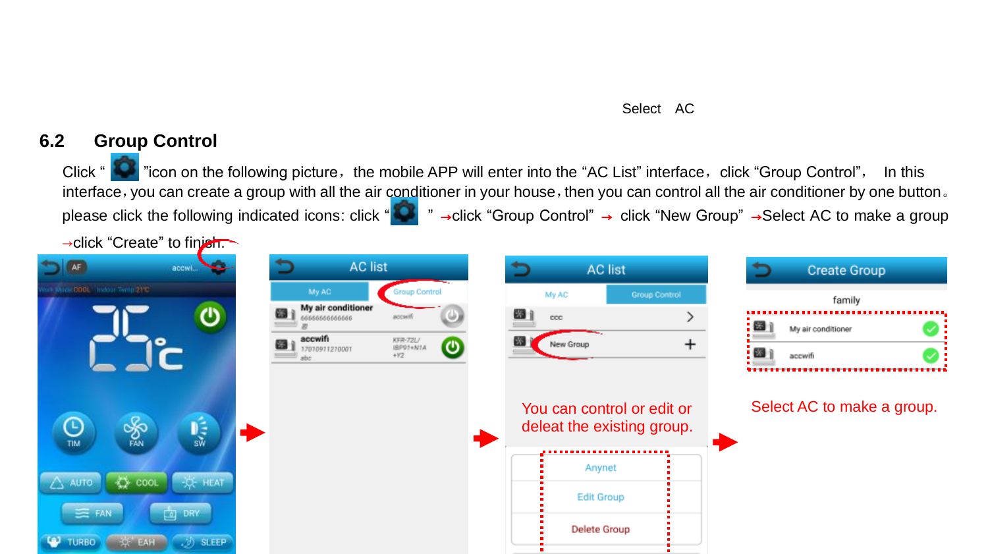#### Select AC

### **6.2 Group Control**

Click "  $\sim$  "icon on the following picture, the mobile APP will enter into the "AC List" interface, click "Group Control", In this interface, you can create a group with all the air conditioner in your house, then you can control all the air conditioner by one button. please click the following indicated icons: click "**| \*** " →click "Group Control" → click "New Group" →Select AC to make a group

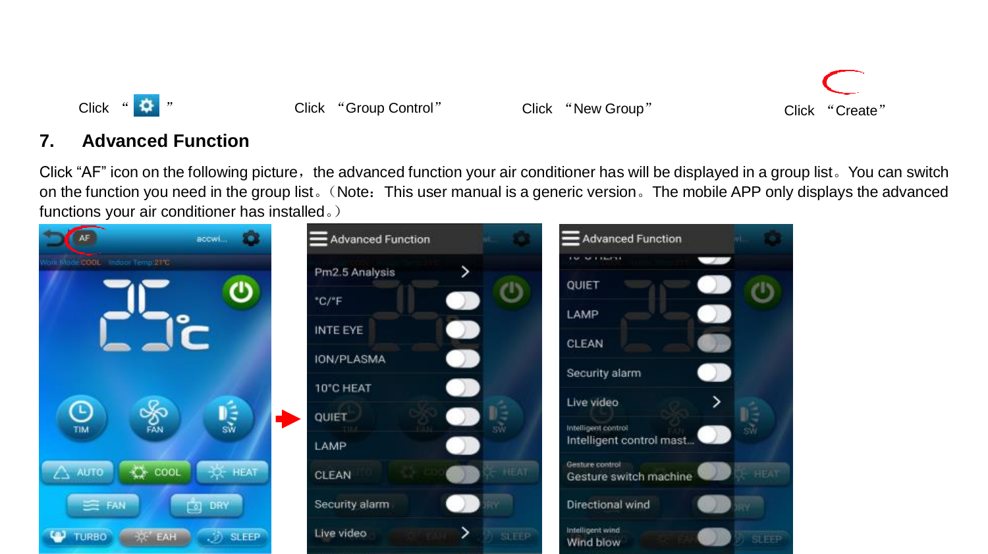



#### **7. Advanced Function**

Click "AF" icon on the following picture, the advanced function your air conditioner has will be displayed in a group list. You can switch on the function you need in the group list。(Note:This user manual is a generic version。The mobile APP only displays the advanced functions your air conditioner has installed。)